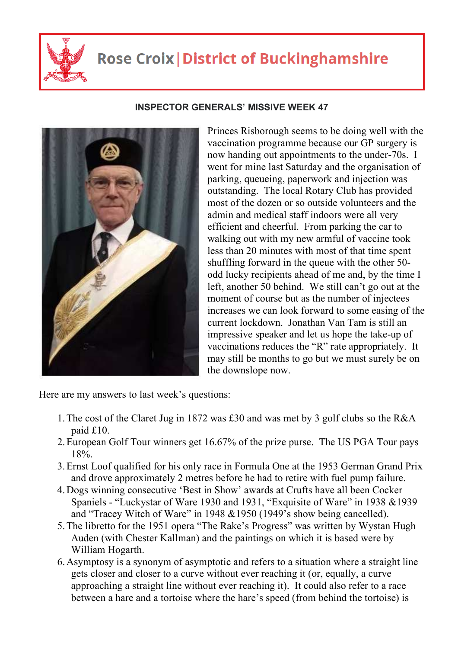

## **Rose Croix | District of Buckinghamshire**

## **INSPECTOR GENERALS' MISSIVE WEEK 47**



Princes Risborough seems to be doing well with the vaccination programme because our GP surgery is now handing out appointments to the under-70s. I went for mine last Saturday and the organisation of parking, queueing, paperwork and injection was outstanding. The local Rotary Club has provided most of the dozen or so outside volunteers and the admin and medical staff indoors were all very efficient and cheerful. From parking the car to walking out with my new armful of vaccine took less than 20 minutes with most of that time spent shuffling forward in the queue with the other 50 odd lucky recipients ahead of me and, by the time I left, another 50 behind. We still can't go out at the moment of course but as the number of injectees increases we can look forward to some easing of the current lockdown. Jonathan Van Tam is still an impressive speaker and let us hope the take-up of vaccinations reduces the "R" rate appropriately. It may still be months to go but we must surely be on the downslope now.

Here are my answers to last week's questions:

- 1.The cost of the Claret Jug in 1872 was £30 and was met by 3 golf clubs so the R&A paid £10.
- 2.European Golf Tour winners get 16.67% of the prize purse. The US PGA Tour pays 18%.
- 3.Ernst Loof qualified for his only race in Formula One at the 1953 German Grand Prix and drove approximately 2 metres before he had to retire with fuel pump failure.
- 4.Dogs winning consecutive 'Best in Show' awards at Crufts have all been Cocker Spaniels - "Luckystar of Ware 1930 and 1931, "Exquisite of Ware" in 1938 &1939 and "Tracey Witch of Ware" in 1948 &1950 (1949's show being cancelled).
- 5.The libretto for the 1951 opera "The Rake's Progress" was written by Wystan Hugh Auden (with Chester Kallman) and the paintings on which it is based were by William Hogarth.
- 6.Asymptosy is a synonym of asymptotic and refers to a situation where a straight line gets closer and closer to a curve without ever reaching it (or, equally, a curve approaching a straight line without ever reaching it). It could also refer to a race between a hare and a tortoise where the hare's speed (from behind the tortoise) is